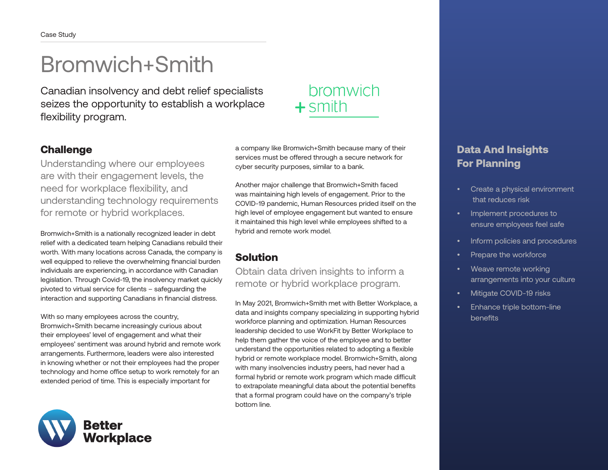# Bromwich+Smith

Canadian insolvency and debt relief specialists seizes the opportunity to establish a workplace flexibility program.

#### **Challenge**

Understanding where our employees are with their engagement levels, the need for workplace flexibility, and understanding technology requirements for remote or hybrid workplaces.

Bromwich+Smith is a nationally recognized leader in debt relief with a dedicated team helping Canadians rebuild their worth. With many locations across Canada, the company is well equipped to relieve the overwhelming financial burden individuals are experiencing, in accordance with Canadian legislation. Through Covid-19, the insolvency market quickly pivoted to virtual service for clients – safeguarding the interaction and supporting Canadians in financial distress.

With so many employees across the country, Bromwich+Smith became increasingly curious about their employees' level of engagement and what their employees' sentiment was around hybrid and remote work arrangements. Furthermore, leaders were also interested in knowing whether or not their employees had the proper technology and home office setup to work remotely for an extended period of time. This is especially important for



a company like Bromwich+Smith because many of their services must be offered through a secure network for cyber security purposes, similar to a bank.

Another major challenge that Bromwich+Smith faced was maintaining high levels of engagement. Prior to the COVID-19 pandemic, Human Resources prided itself on the high level of employee engagement but wanted to ensure it maintained this high level while employees shifted to a hybrid and remote work model.

## Solution

Obtain data driven insights to inform a remote or hybrid workplace program.

In May 2021, Bromwich+Smith met with Better Workplace, a data and insights company specializing in supporting hybrid workforce planning and optimization. Human Resources leadership decided to use WorkFit by Better Workplace to help them gather the voice of the employee and to better understand the opportunities related to adopting a flexible hybrid or remote workplace model. Bromwich+Smith, along with many insolvencies industry peers, had never had a formal hybrid or remote work program which made difficult to extrapolate meaningful data about the potential benefits that a formal program could have on the company's triple bottom line.

## bromwich  $+$ smith

### Data And Insights For Planning

- Create a physical environment that reduces risk
- Implement procedures to ensure employees feel safe
- Inform policies and procedures
- Prepare the workforce
- Weave remote working arrangements into your culture
- Mitigate COVID-19 risks
- Enhance triple bottom-line benefits